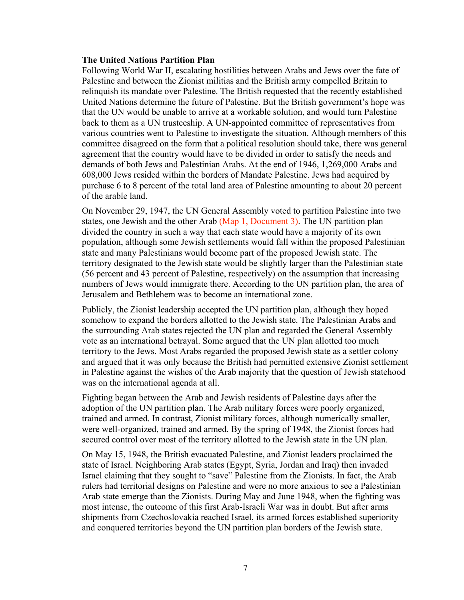## **The United Nations Partition Plan**

Following World War II, escalating hostilities between Arabs and Jews over the fate of Palestine and between the Zionist militias and the British army compelled Britain to relinquish its mandate over Palestine. The British requested that the recently established United Nations determine the future of Palestine. But the British government's hope was that the UN would be unable to arrive at a workable solution, and would turn Palestine back to them as a UN trusteeship. A UN-appointed committee of representatives from various countries went to Palestine to investigate the situation. Although members of this committee disagreed on the form that a political resolution should take, there was general agreement that the country would have to be divided in order to satisfy the needs and demands of both Jews and Palestinian Arabs. At the end of 1946, 1,269,000 Arabs and 608,000 Jews resided within the borders of Mandate Palestine. Jews had acquired by purchase 6 to 8 percent of the total land area of Palestine amounting to about 20 percent of the arable land.

On November 29, 1947, the UN General Assembly voted to partition Palestine into two states, one Jewish and the other Arab (Map 1, Document 3). The UN partition plan divided the country in such a way that each state would have a majority of its own population, although some Jewish settlements would fall within the proposed Palestinian state and many Palestinians would become part of the proposed Jewish state. The territory designated to the Jewish state would be slightly larger than the Palestinian state (56 percent and 43 percent of Palestine, respectively) on the assumption that increasing numbers of Jews would immigrate there. According to the UN partition plan, the area of Jerusalem and Bethlehem was to become an international zone.

Publicly, the Zionist leadership accepted the UN partition plan, although they hoped somehow to expand the borders allotted to the Jewish state. The Palestinian Arabs and the surrounding Arab states rejected the UN plan and regarded the General Assembly vote as an international betrayal. Some argued that the UN plan allotted too much territory to the Jews. Most Arabs regarded the proposed Jewish state as a settler colony and argued that it was only because the British had permitted extensive Zionist settlement in Palestine against the wishes of the Arab majority that the question of Jewish statehood was on the international agenda at all.

Fighting began between the Arab and Jewish residents of Palestine days after the adoption of the UN partition plan. The Arab military forces were poorly organized, trained and armed. In contrast, Zionist military forces, although numerically smaller, were well-organized, trained and armed. By the spring of 1948, the Zionist forces had secured control over most of the territory allotted to the Jewish state in the UN plan.

On May 15, 1948, the British evacuated Palestine, and Zionist leaders proclaimed the state of Israel. Neighboring Arab states (Egypt, Syria, Jordan and Iraq) then invaded Israel claiming that they sought to "save" Palestine from the Zionists. In fact, the Arab rulers had territorial designs on Palestine and were no more anxious to see a Palestinian Arab state emerge than the Zionists. During May and June 1948, when the fighting was most intense, the outcome of this first Arab-Israeli War was in doubt. But after arms shipments from Czechoslovakia reached Israel, its armed forces established superiority and conquered territories beyond the UN partition plan borders of the Jewish state.